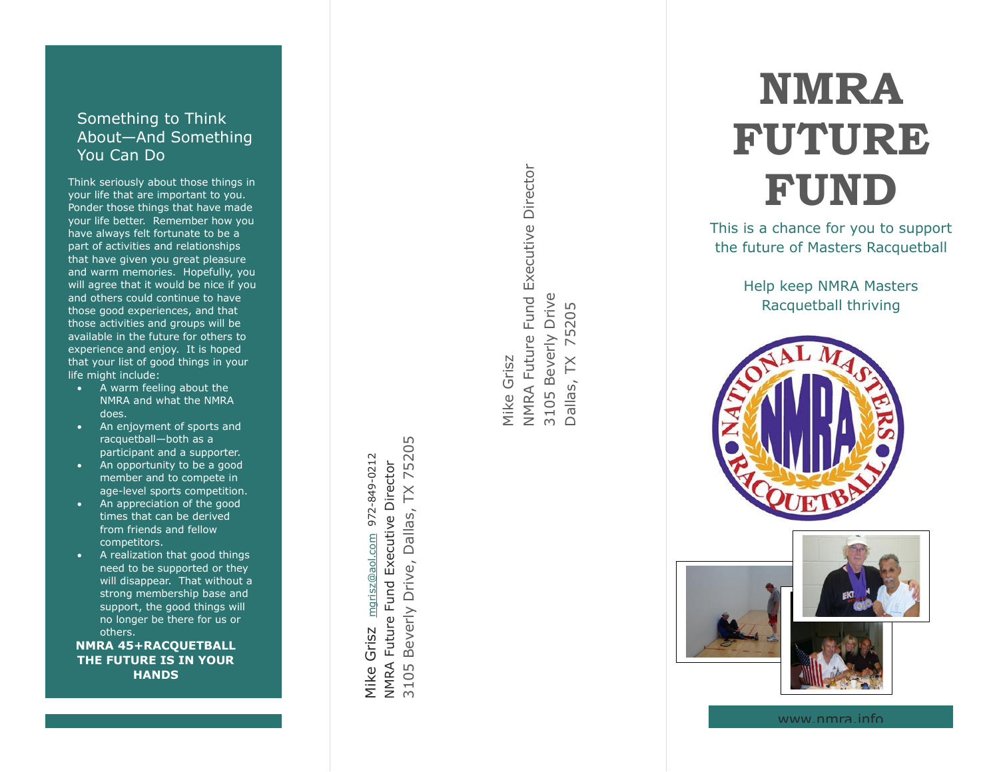## Something to Think About —And Something You Can Do

Think seriously about those things in your life that are important to you. Ponder those things that have made your life better. Remember how you have always felt fortunate to be a part of activities and relationships that have given you great pleasure and warm memories. Hopefully, you will agree that it would be nice if you and others could continue to have those good experiences, and that those activities and groups will be available in the future for others to experience and enjoy. It is hoped that your list of good things in your life might include:

- A warm feeling about the NMRA and what the NMRA does.
- An enjoyment of sports and racquetball —both as a participant and a supporter.
- An opportunity to be a good member and to compete in age -level sports competition.
- An appreciation of the good times that can be derived from friends and fellow competitors.
- A realization that good things need to be supported or they will disappear. That without a strong membership base and support, the good things will no longer be there for us or others.

**NMRA 45+RACQUETBALL THE FUTURE IS IN YOUR HANDS**

**TX 75205** 3105 Beverly Drive, Dallas, TX 75205 mgrisz@aol.com 972-849-0212 Mike Grisz [mgrisz@aol.com](mailto:mgrisz@aol.com) 972-849-0212 **NMRA Future Fund Executive Director** NMRA Future Fund Executive Director Beverly Drive, Dallas, Mike Grisz 3105

Mike Grisz<br>NMRA Future Fund Executive Director NMRA Future Fund Executive Director 3105 Beverly Drive 3105 Beverly Drive 75205 Dallas, TX 75205  $\overline{\mathsf{K}}$  $D$ allas,

# **NMRA FUTURE FUND**

This is a chance for you to support the future of Masters Racquetball

> Help keep NMRA Masters Racquetball thriving